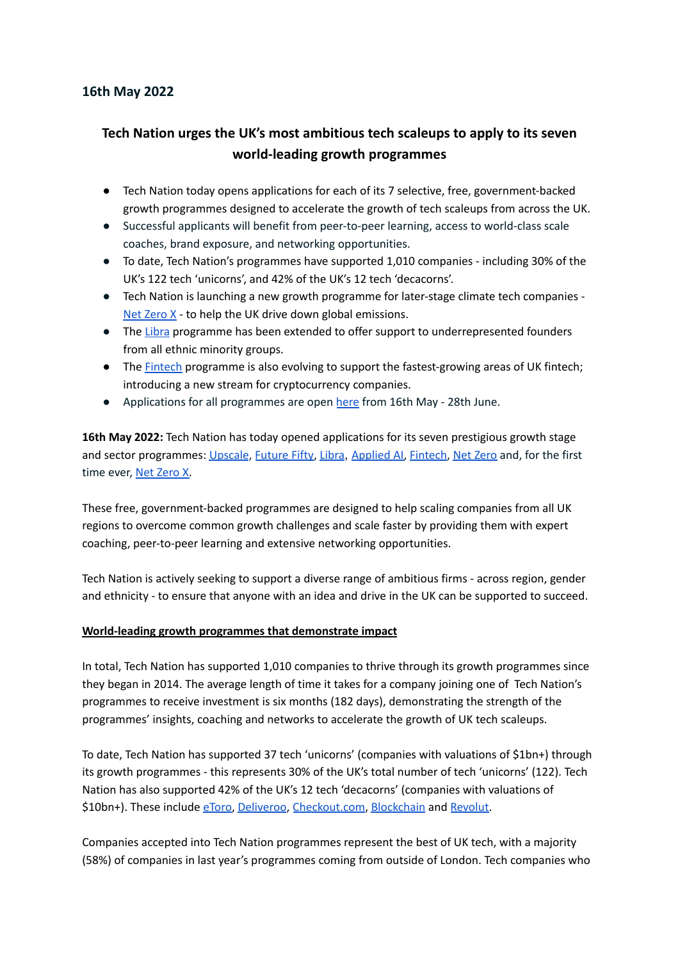# **16th May 2022**

# **Tech Nation urges the UK's most ambitious tech scaleups to apply to its seven world-leading growth programmes**

- Tech Nation today opens applications for each of its 7 selective, free, government-backed growth programmes designed to accelerate the growth of tech scaleups from across the UK.
- Successful applicants will benefit from peer-to-peer learning, access to world-class scale coaches, brand exposure, and networking opportunities.
- To date, Tech Nation's programmes have supported 1,010 companies including 30% of the UK's 122 tech 'unicorns', and 42% of the UK's 12 tech 'decacorns'.
- *●* Tech Nation is launching a new growth programme for later-stage climate tech companies Net [Zero](https://technation.io/programmes/net-zero-x/) X - to help the UK drive down global emissions.
- *●* The [Libra](https://technation.io/programmes/libra/) programme has been extended to offer support to underrepresented founders from all ethnic minority groups.
- The [Fintech](https://technation.io/programmes/fintech) programme is also evolving to support the fastest-growing areas of UK fintech; introducing a new stream for cryptocurrency companies.
- Applications for all programmes are open [here](https://technation.io/programmes/) from 16th May 28th June.

**16th May 2022:** Tech Nation has today opened applications for its seven prestigious growth stage and sector programmes: [Upscale](https://technation.io/programmes/upscale/), [Future](https://technation.io/programmes/future-fifty/) Fifty, [Libra](https://technation.io/programmes/libra/), [Applied](https://technation.io/programmes/applied-ai/) AI, [Fintech,](https://technation.io/programmes/fintech) Net [Zero](https://technation.io/programmes/net-zero) and, for the first time ever, Net [Zero](https://technation.io/programmes/net-zero-x/) X.

These free, government-backed programmes are designed to help scaling companies from all UK regions to overcome common growth challenges and scale faster by providing them with expert coaching, peer-to-peer learning and extensive networking opportunities.

Tech Nation is actively seeking to support a diverse range of ambitious firms - across region, gender and ethnicity - to ensure that anyone with an idea and drive in the UK can be supported to succeed.

### **World-leading growth programmes that demonstrate impact**

In total, Tech Nation has supported 1,010 companies to thrive through its growth programmes since they began in 2014. The average length of time it takes for a company joining one of Tech Nation's programmes to receive investment is six months (182 days), demonstrating the strength of the programmes' insights, coaching and networks to accelerate the growth of UK tech scaleups.

To date, Tech Nation has supported 37 tech 'unicorns' (companies with valuations of \$1bn+) through its growth programmes - this represents 30% of the UK's total number of tech 'unicorns' (122). Tech Nation has also supported 42% of the UK's 12 tech 'decacorns' (companies with valuations of \$10bn+). These include [eToro](https://www.etoro.com/start?gclid=CjwKCAjwj42UBhAAEiwACIhADiU2Vn5f_vBuLrAVsTitK6mCcP1eUPWia2MjUklGgzEjlS69NYhJFhoC6LEQAvD_BwE), [Deliveroo](https://deliveroo.co.uk/), [Checkout.com](https://www.checkout.com/), [Blockchain](https://www.blockchain.com/) and [Revolut.](https://www.revolut.com/)

Companies accepted into Tech Nation programmes represent the best of UK tech, with a majority (58%) of companies in last year's programmes coming from outside of London. Tech companies who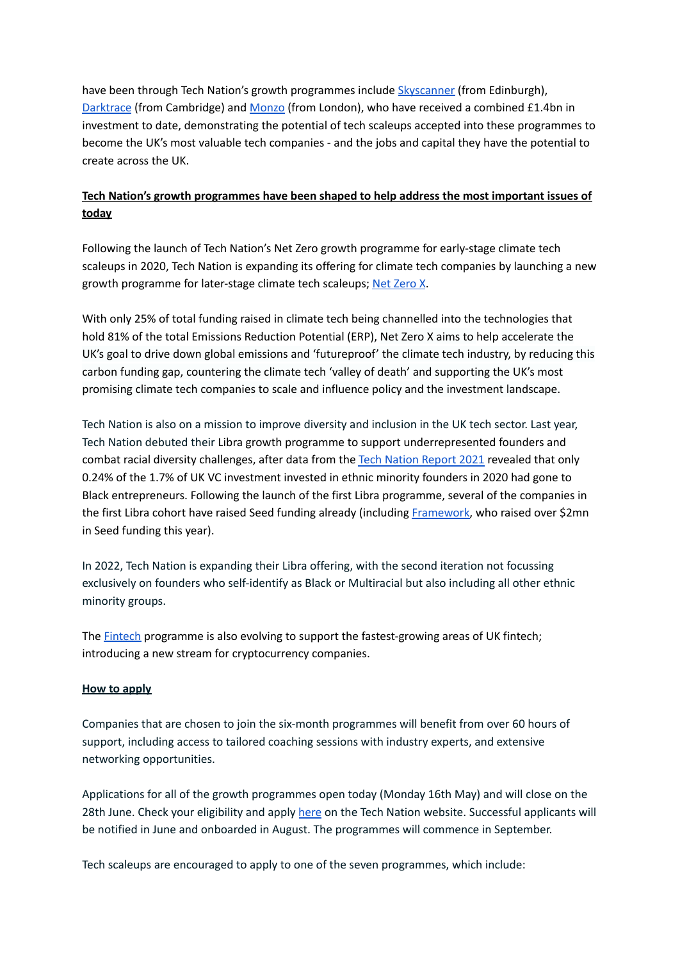have been through Tech Nation's growth programmes include [Skyscanner](https://www.skyscanner.net/) (from Edinburgh), [Darktrace](https://www.darktrace.com/en/) (from Cambridge) and [Monzo](https://monzo.com/) (from London), who have received a combined £1.4bn in investment to date, demonstrating the potential of tech scaleups accepted into these programmes to become the UK's most valuable tech companies - and the jobs and capital they have the potential to create across the UK.

# **Tech Nation's growth programmes have been shaped to help address the most important issues of today**

Following the launch of Tech Nation's Net Zero growth programme for early-stage climate tech scaleups in 2020, Tech Nation is expanding its offering for climate tech companies by launching a new growth programme for later-stage climate tech scaleups; Net [Zero](https://technation.io/programmes/net-zero-x/) X.

With only 25% of total funding raised in climate tech being channelled into the technologies that hold 81% of the total Emissions Reduction Potential (ERP), Net Zero X aims to help accelerate the UK's goal to drive down global emissions and 'futureproof' the climate tech industry, by reducing this carbon funding gap, countering the climate tech 'valley of death' and supporting the UK's most promising climate tech companies to scale and influence policy and the investment landscape.

Tech Nation is also on a mission to improve diversity and inclusion in the UK tech sector. Last year, Tech Nation debuted their Libra growth programme to support underrepresented founders and combat racial diversity challenges, after data from the Tech Nation [Report](https://technation.io/report2021/) 2021 revealed that only 0.24% of the 1.7% of UK VC investment invested in ethnic minority founders in 2020 had gone to Black entrepreneurs. Following the launch of the first Libra programme, several of the companies in the first Libra cohort have raised Seed funding already (including [Framework,](https://useframework.com/) who raised over \$2mn in Seed funding this year).

In 2022, Tech Nation is expanding their Libra offering, with the second iteration not focussing exclusively on founders who self-identify as Black or Multiracial but also including all other ethnic minority groups.

The **[Fintech](https://technation.io/programmes/fintech)** programme is also evolving to support the fastest-growing areas of UK fintech; introducing a new stream for cryptocurrency companies.

# **How to apply**

Companies that are chosen to join the six-month programmes will benefit from over 60 hours of support, including access to tailored coaching sessions with industry experts, and extensive networking opportunities.

Applications for all of the growth programmes open today (Monday 16th May) and will close on the 28th June. Check your eligibility and apply [here](https://technation.io/programmes/) on the Tech Nation website. Successful applicants will be notified in June and onboarded in August. The programmes will commence in September.

Tech scaleups are encouraged to apply to one of the seven programmes, which include: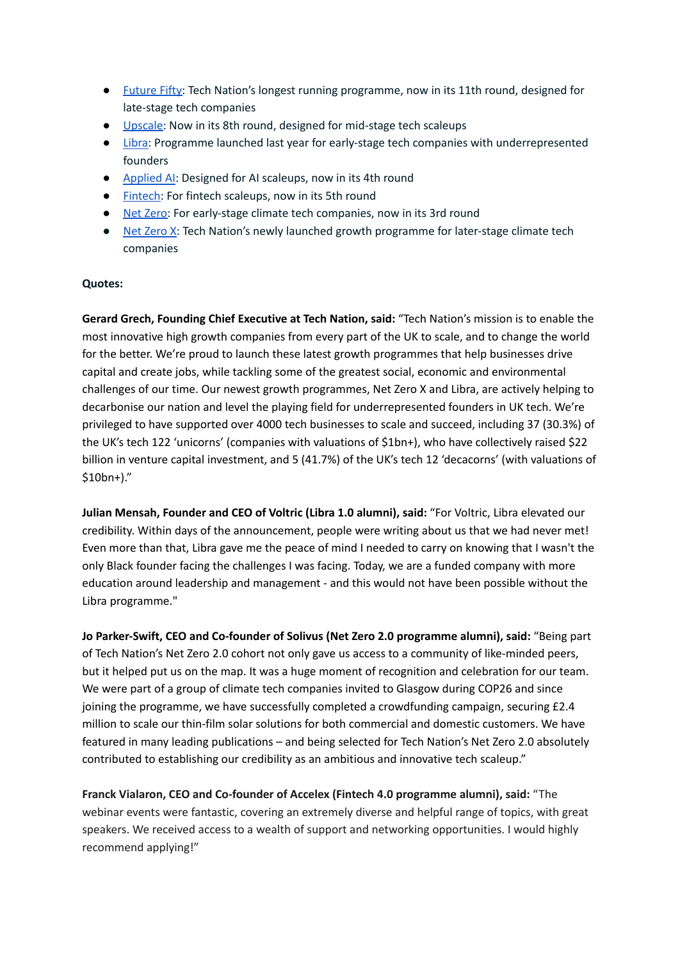- [Future](https://technation.io/programmes/future-fifty/) Fifty: Tech Nation's longest running programme, now in its 11th round, designed for late-stage tech companies
- [Upscale:](https://technation.io/programmes/upscale/) Now in its 8th round, designed for mid-stage tech scaleups
- [Libra:](https://technation.io/programmes/libra/) Programme launched last year for early-stage tech companies with underrepresented founders
- [Applied](https://technation.io/programmes/applied-ai/) AI: Designed for AI scaleups, now in its 4th round
- [Fintech:](https://technation.io/programmes/fintech) For fintech scaleups, now in its 5th round
- Net [Zero:](https://technation.io/programmes/net-zero) For early-stage climate tech companies, now in its 3rd round
- Net [Zero](https://technation.io/programmes/net-zero-x/) X: Tech Nation's newly launched growth programme for later-stage climate tech companies

## **Quotes:**

**Gerard Grech, Founding Chief Executive at Tech Nation, said:** "Tech Nation's mission is to enable the most innovative high growth companies from every part of the UK to scale, and to change the world for the better. We're proud to launch these latest growth programmes that help businesses drive capital and create jobs, while tackling some of the greatest social, economic and environmental challenges of our time. Our newest growth programmes, Net Zero X and Libra, are actively helping to decarbonise our nation and level the playing field for underrepresented founders in UK tech. We're privileged to have supported over 4000 tech businesses to scale and succeed, including 37 (30.3%) of the UK's tech 122 'unicorns' (companies with valuations of \$1bn+), who have collectively raised \$22 billion in venture capital investment, and 5 (41.7%) of the UK's tech 12 'decacorns' (with valuations of \$10bn+)."

**Julian Mensah, Founder and CEO of Voltric (Libra 1.0 alumni), said:** "For Voltric, Libra elevated our credibility. Within days of the announcement, people were writing about us that we had never met! Even more than that, Libra gave me the peace of mind I needed to carry on knowing that I wasn't the only Black founder facing the challenges I was facing. Today, we are a funded company with more education around leadership and management - and this would not have been possible without the Libra programme."

**Jo Parker-Swift, CEO and Co-founder of Solivus (Net Zero 2.0 programme alumni), said:** "Being part of Tech Nation's Net Zero 2.0 cohort not only gave us access to a community of like-minded peers, but it helped put us on the map. It was a huge moment of recognition and celebration for our team. We were part of a group of climate tech companies invited to Glasgow during COP26 and since joining the programme, we have successfully completed a crowdfunding campaign, securing £2.4 million to scale our thin-film solar solutions for both commercial and domestic customers. We have featured in many leading publications – and being selected for Tech Nation's Net Zero 2.0 absolutely contributed to establishing our credibility as an ambitious and innovative tech scaleup."

**Franck Vialaron, CEO and Co-founder of Accelex (Fintech 4.0 programme alumni), said:** "The webinar events were fantastic, covering an extremely diverse and helpful range of topics, with great speakers. We received access to a wealth of support and networking opportunities. I would highly recommend applying!"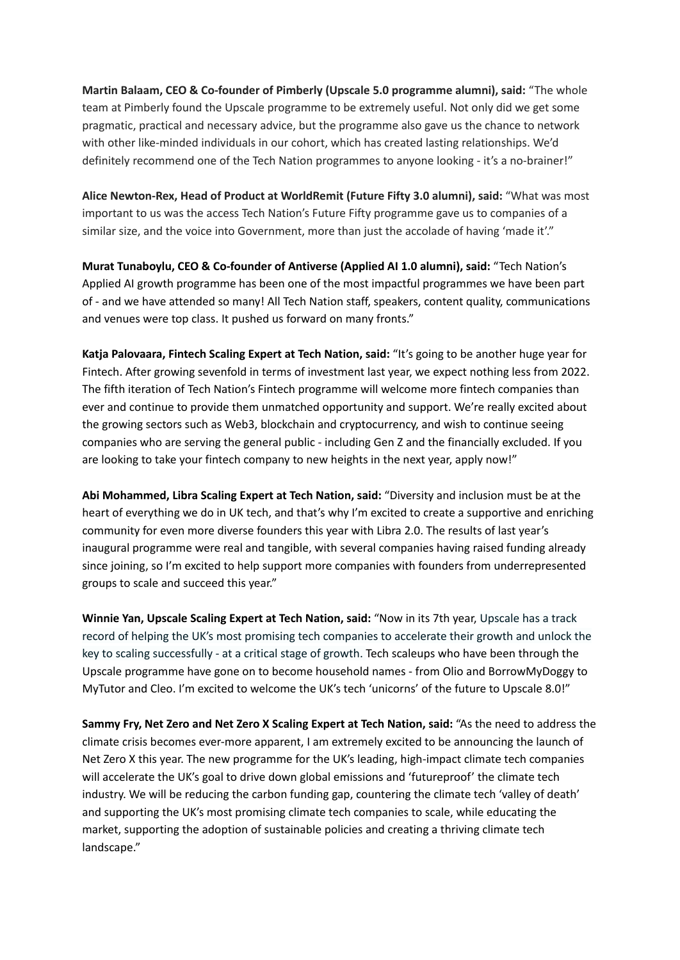**Martin Balaam, CEO & Co-founder of Pimberly (Upscale 5.0 programme alumni), said:** "The whole team at Pimberly found the Upscale programme to be extremely useful. Not only did we get some pragmatic, practical and necessary advice, but the programme also gave us the chance to network with other like-minded individuals in our cohort, which has created lasting relationships. We'd definitely recommend one of the Tech Nation programmes to anyone looking - it's a no-brainer!"

**Alice Newton-Rex, Head of Product at WorldRemit (Future Fifty 3.0 alumni), said:** "What was most important to us was the access Tech Nation's Future Fifty programme gave us to companies of a similar size, and the voice into Government, more than just the accolade of having 'made it'."

**Murat Tunaboylu, CEO & Co-founder of Antiverse (Applied AI 1.0 alumni), said:** "Tech Nation's Applied AI growth programme has been one of the most impactful programmes we have been part of - and we have attended so many! All Tech Nation staff, speakers, content quality, communications and venues were top class. It pushed us forward on many fronts."

**Katja Palovaara, Fintech Scaling Expert at Tech Nation, said:** "It's going to be another huge year for Fintech. After growing sevenfold in terms of investment last year, we expect nothing less from 2022. The fifth iteration of Tech Nation's Fintech programme will welcome more fintech companies than ever and continue to provide them unmatched opportunity and support. We're really excited about the growing sectors such as Web3, blockchain and cryptocurrency, and wish to continue seeing companies who are serving the general public - including Gen Z and the financially excluded. If you are looking to take your fintech company to new heights in the next year, apply now!"

**Abi Mohammed, Libra Scaling Expert at Tech Nation, said:** "Diversity and inclusion must be at the heart of everything we do in UK tech, and that's why I'm excited to create a supportive and enriching community for even more diverse founders this year with Libra 2.0. The results of last year's inaugural programme were real and tangible, with several companies having raised funding already since joining, so I'm excited to help support more companies with founders from underrepresented groups to scale and succeed this year."

**Winnie Yan, Upscale Scaling Expert at Tech Nation, said:** "Now in its 7th year, Upscale has a track record of helping the UK's most promising tech companies to accelerate their growth and unlock the key to scaling successfully - at a critical stage of growth. Tech scaleups who have been through the Upscale programme have gone on to become household names - from Olio and BorrowMyDoggy to MyTutor and Cleo. I'm excited to welcome the UK's tech 'unicorns' of the future to Upscale 8.0!"

**Sammy Fry, Net Zero and Net Zero X Scaling Expert at Tech Nation, said:** "As the need to address the climate crisis becomes ever-more apparent, I am extremely excited to be announcing the launch of Net Zero X this year. The new programme for the UK's leading, high-impact climate tech companies will accelerate the UK's goal to drive down global emissions and 'futureproof' the climate tech industry. We will be reducing the carbon funding gap, countering the climate tech 'valley of death' and supporting the UK's most promising climate tech companies to scale, while educating the market, supporting the adoption of sustainable policies and creating a thriving climate tech landscape."